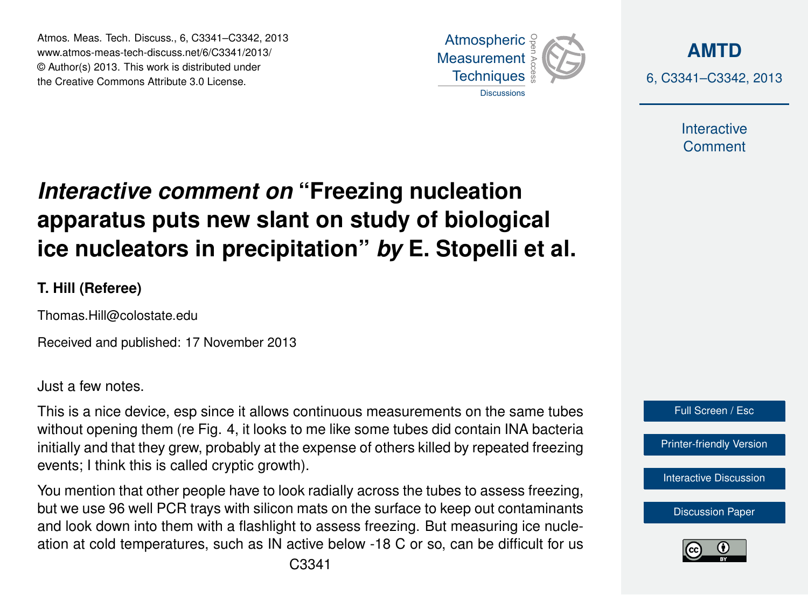Atmos. Meas. Tech. Discuss., 6, C3341–C3342, 2013 Atmospheric www.atmos-meas-tech-discuss.net/6/C3341/2013/ www.atmos-meas-tech-discuss.net/o/C3341/2013/<br>© Author(s) 2013. This work is distributed under the Creative Commons Attribute 3.0 License.



**[AMTD](http://www.atmos-meas-tech-discuss.net)** 6, C3341–C3342, 2013

> Interactive **Comment**

## **Interactive comment on "Freezing nucleation** ow clant on ctudy of hiologic ،<br>آ  $\ddot{\cdot}$ apparatus puts new slant on study of biological Earth System Open Access  $\overline{a}$ ice nucleators in precipitation" *by* E. Stopelli et al.

**T. Hill (Referee)**

Thomas.Hill@colostate.edu

Received and published: 17 November 2013 Open Access

Just a few notes.

This is a nice device, esp since it allows continuous measurements on the same tubes without opening them (re Fig. 4, it looks to me like some tubes did contain INA bacteria o<br>O<br>P n<br>t<br>f initially and that they grew, probably at the expense of others killed by repeated freezing events; I think this is called cryptic growth).

Hydrology and Hydrology and pie nave to io nu i Sincoi<br>Scientiale k<br>n<br>. You mention that other people have to look radially across the tubes to assess freezing, but we use 96 well PCR trays with silicon mats on the surface to keep out contaminants<br>contained shown into the manifest fleehlight to concern framework as a surface with the manufacture fr<br>ar and look down into them with a flashlight to assess freezing. But measuring ice nucleu<br>| ation at cold temperatures, such as IN active below -18 C or so, can be difficult for us



[Discussion Paper](http://www.atmos-meas-tech-discuss.net/6/9163/2013/amtd-6-9163-2013.pdf)



Ocean Science